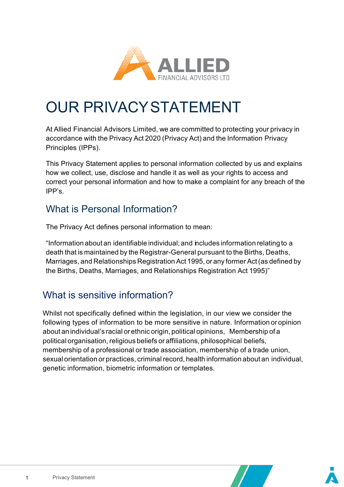

## OUR PRIVACYSTATEMENT

At Allied Financial Advisors Limited, we are committed to protecting your privacy in accordance with the Privacy Act 2020 (Privacy Act) and the Information Privacy Principles (IPPs).

This Privacy Statement applies to personal information collected by us and explains how we collect, use, disclose and handle it as well as your rights to access and correct your personal information and how to make a complaint for any breach of the IPP's.

### What is Personal Information?

The Privacy Act defines personal information to mean:

"Information about an identifiable individual; and includes information relating to a death that is maintained by the Registrar-General pursuant to the Births, Deaths, Marriages, and Relationships Registration Act 1995, or any former Act(as defined by the Births, Deaths, Marriages, and Relationships Registration Act 1995)"

### What is sensitive information?

Whilst not specifically defined within the legislation, in our view we consider the following types of information to be more sensitive in nature. Information or opinion about an individual's racial or ethnic origin, political opinions, Membership of a political organisation, religious beliefs or affiliations, philosophical beliefs, membership of a professional or trade association, membership of a trade union, sexual orientation or practices, criminal record, health information about an individual, genetic information, biometric information or templates.



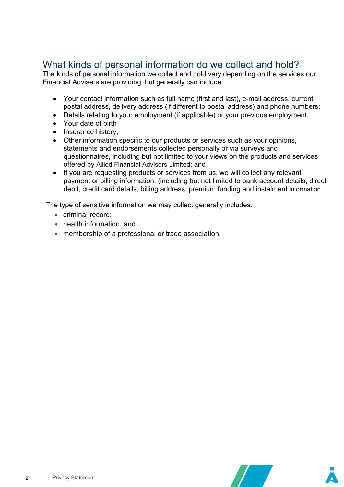#### What kinds of personal information do we collect and hold?

The kinds of personal information we collect and hold vary depending on the services our Financial Advisers are providing, but generally can include:

- Your contact information such as full name (first and last), e-mail address, current postal address, delivery address (if different to postal address) and phone numbers;
- Details relating to your employment (if applicable) or your previous employment;
- Your date of birth
- Insurance history;
- Other information specific to our products or services such as your opinions, statements and endorsements collected personally or via surveys and questionnaires, including but not limited to your views on the products and services offered by Allied Financial Advisors Limited; and
- If you are requesting products or services from us, we will collect any relevant payment or billing information, (including but not limited to bank account details, direct debit, credit card details, billing address, premium funding and instalment information.

The type of sensitive information we may collect generally includes:

- criminal record;
- health information; and
- membership of a professional or trade association.

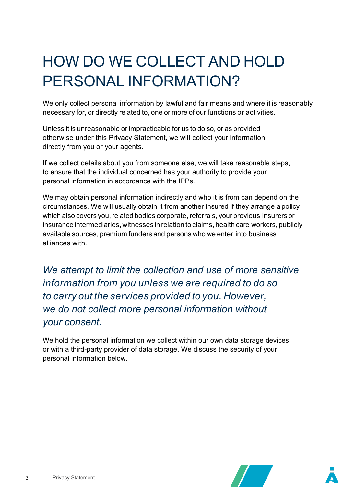# HOW DO WE COLLECT AND HOLD PERSONAL INFORMATION?

We only collect personal information by lawful and fair means and where it is reasonably necessary for, or directly related to, one or more of our functions or activities.

Unless it is unreasonable or impracticable for us to do so, or as provided otherwise under this Privacy Statement, we will collect your information directly from you or your agents.

If we collect details about you from someone else, we will take reasonable steps, to ensure that the individual concerned has your authority to provide your personal information in accordance with the IPPs.

We may obtain personal information indirectly and who it is from can depend on the circumstances. We will usually obtain it from another insured if they arrange a policy which also covers you, related bodies corporate, referrals, your previous insurers or insurance intermediaries, witnesses in relation to claims, health care workers, publicly available sources, premium funders and persons who we enter into business alliances with.

*We attempt to limit the collection and use of more sensitive information from you unless we are required to do so to carry out the services provided to you. However, we do not collect more personal information without your consent.*

We hold the personal information we collect within our own data storage devices or with a third-party provider of data storage. We discuss the security of your personal information below.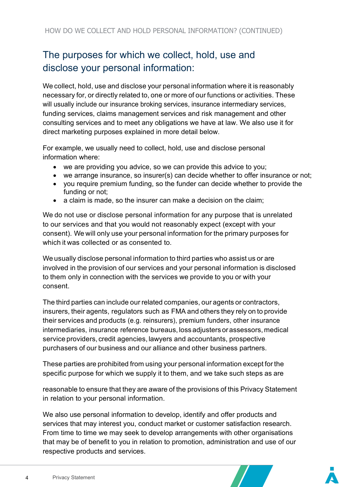### The purposes for which we collect, hold, use and disclose your personal information:

We collect, hold, use and disclose your personal information where it is reasonably necessary for, or directly related to, one or more of our functions or activities. These will usually include our insurance broking services, insurance intermediary services, funding services, claims management services and risk management and other consulting services and to meet any obligations we have at law. We also use it for direct marketing purposes explained in more detail below.

For example, we usually need to collect, hold, use and disclose personal information where:

- we are providing you advice, so we can provide this advice to you;
- we arrange insurance, so insurer(s) can decide whether to offer insurance or not;
- you require premium funding, so the funder can decide whether to provide the funding or not;
- a claim is made, so the insurer can make a decision on the claim;

We do not use or disclose personal information for any purpose that is unrelated to our services and that you would not reasonably expect (except with your consent). We will only use your personal information for the primary purposes for which it was collected or as consented to.

We usually disclose personal information to third parties who assist us or are involved in the provision of our services and your personal information is disclosed to them only in connection with the services we provide to you or with your consent.

The third parties can include our related companies, our agents or contractors, insurers, their agents, regulators such as FMA and others they rely on to provide their services and products (e.g. reinsurers), premium funders, other insurance intermediaries, insurance reference bureaus, loss adjusters orassessors, medical service providers, credit agencies, lawyers and accountants, prospective purchasers of our business and our alliance and other business partners.

These parties are prohibited from using your personal information except for the specific purpose for which we supply it to them, and we take such steps as are

reasonable to ensure that they are aware of the provisions of this Privacy Statement in relation to your personal information.

We also use personal information to develop, identify and offer products and services that may interest you, conduct market or customer satisfaction research. From time to time we may seek to develop arrangements with other organisations that may be of benefit to you in relation to promotion, administration and use of our respective products and services.

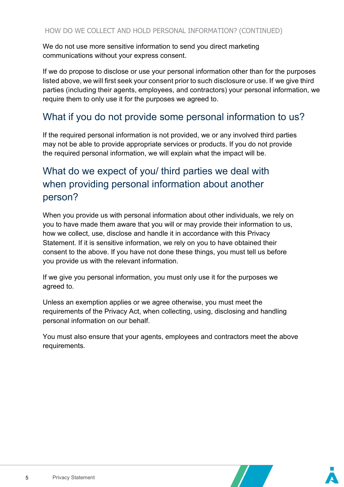We do not use more sensitive information to send you direct marketing communications without your express consent.

If we do propose to disclose or use your personal information other than for the purposes listed above, we will first seek your consent prior to such disclosure or use. If we give third parties (including their agents, employees, and contractors) your personal information, we require them to only use it for the purposes we agreed to.

### What if you do not provide some personal information to us?

If the required personal information is not provided, we or any involved third parties may not be able to provide appropriate services or products. If you do not provide the required personal information, we will explain what the impact will be.

### What do we expect of you/ third parties we deal with when providing personal information about another person?

When you provide us with personal information about other individuals, we rely on you to have made them aware that you will or may provide their information to us, how we collect, use, disclose and handle it in accordance with this Privacy Statement. If it is sensitive information, we rely on you to have obtained their consent to the above. If you have not done these things, you must tell us before you provide us with the relevant information.

If we give you personal information, you must only use it for the purposes we agreed to.

Unless an exemption applies or we agree otherwise, you must meet the requirements of the Privacy Act, when collecting, using, disclosing and handling personal information on our behalf.

You must also ensure that your agents, employees and contractors meet the above requirements.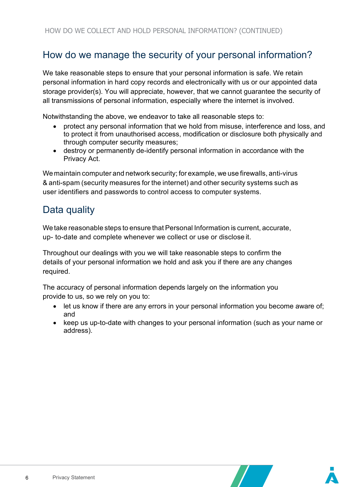#### How do we manage the security of your personal information?

We take reasonable steps to ensure that your personal information is safe. We retain personal information in hard copy records and electronically with us or our appointed data storage provider(s). You will appreciate, however, that we cannot guarantee the security of all transmissions of personal information, especially where the internet is involved.

Notwithstanding the above, we endeavor to take all reasonable steps to:

- protect any personal information that we hold from misuse, interference and loss, and to protect it from unauthorised access, modification or disclosure both physically and through computer security measures;
- destroy or permanently de-identify personal information in accordance with the Privacy Act.

Wemaintain computer and network security; for example, we use firewalls, anti-virus & anti-spam (security measures for the internet) and other security systems such as user identifiers and passwords to control access to computer systems.

#### Data quality

We take reasonable steps to ensure that Personal Information is current, accurate, up- to-date and complete whenever we collect or use or disclose it.

Throughout our dealings with you we will take reasonable steps to confirm the details of your personal information we hold and ask you if there are any changes required.

The accuracy of personal information depends largely on the information you provide to us, so we rely on you to:

- let us know if there are any errors in your personal information you become aware of; and
- keep us up-to-date with changes to your personal information (such as your name or address).



 $\mathcal{L}$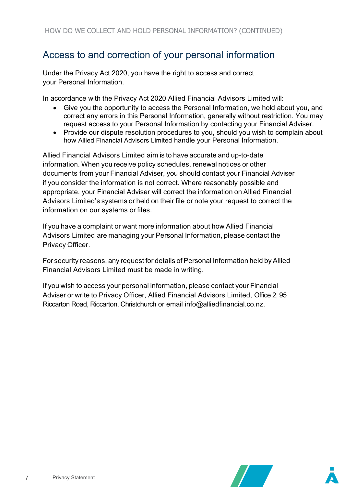### Access to and correction of your personal information

Under the Privacy Act 2020, you have the right to access and correct your Personal Information.

In accordance with the Privacy Act 2020 Allied Financial Advisors Limited will:

- Give you the opportunity to access the Personal Information, we hold about you, and correct any errors in this Personal Information, generally without restriction. You may request access to your Personal Information by contacting your Financial Adviser.
- Provide our dispute resolution procedures to you, should you wish to complain about how Allied Financial Advisors Limited handle your Personal Information.

Allied Financial Advisors Limited aim is to have accurate and up-to-date information. When you receive policy schedules, renewal notices or other documents from your Financial Adviser, you should contact your Financial Adviser if you consider the information is not correct. Where reasonably possible and appropriate, your Financial Adviser will correct the information on Allied Financial Advisors Limited's systems or held on their file or note your request to correct the information on our systems or files.

If you have a complaint or want more information about how Allied Financial Advisors Limited are managing your Personal Information, please contact the Privacy Officer.

For security reasons, any request for details of Personal Information held by Allied Financial Advisors Limited must be made in writing.

If you wish to access your personal information, please contact your Financial Adviser or write to Privacy Officer, Allied Financial Advisors Limited, Office 2, 95 Riccarton Road, Riccarton, Christchurch or email info@alliedfinancial.co.n[z.](mailto:compliance@ianz.co.nz)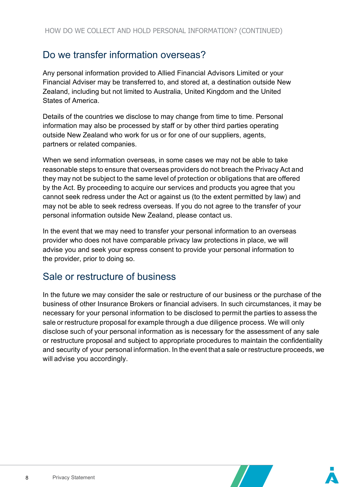#### Do we transfer information overseas?

Any personal information provided to Allied Financial Advisors Limited or your Financial Adviser may be transferred to, and stored at, a destination outside New Zealand, including but not limited to Australia, United Kingdom and the United States of America.

Details of the countries we disclose to may change from time to time. Personal information may also be processed by staff or by other third parties operating outside New Zealand who work for us or for one of our suppliers, agents, partners or related companies.

When we send information overseas, in some cases we may not be able to take reasonable steps to ensure that overseas providers do not breach the Privacy Act and they may not be subject to the same level of protection or obligations that are offered by the Act. By proceeding to acquire our services and products you agree that you cannot seek redress under the Act or against us (to the extent permitted by law) and may not be able to seek redress overseas. If you do not agree to the transfer of your personal information outside New Zealand, please contact us.

In the event that we may need to transfer your personal information to an overseas provider who does not have comparable privacy law protections in place, we will advise you and seek your express consent to provide your personal information to the provider, prior to doing so.

#### Sale or restructure of business

In the future we may consider the sale or restructure of our business or the purchase of the business of other Insurance Brokers or financial advisers. In such circumstances, it may be necessary for your personal information to be disclosed to permit the parties to assess the sale or restructure proposal for example through a due diligence process. We will only disclose such of your personal information as is necessary for the assessment of any sale or restructure proposal and subject to appropriate procedures to maintain the confidentiality and security of your personal information. In the event that a sale or restructure proceeds, we will advise you accordingly.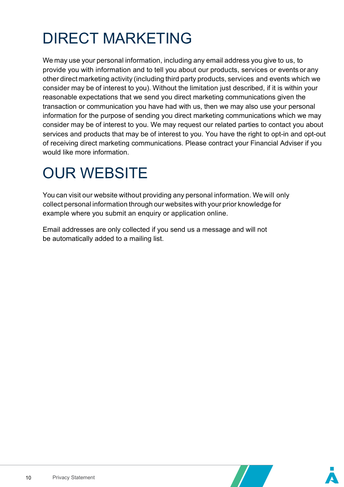# DIRECT MARKETING

We may use your personal information, including any email address you give to us, to provide you with information and to tell you about our products, services or events or any other direct marketing activity (including third party products, services and events which we consider may be of interest to you). Without the limitation just described, if it is within your reasonable expectations that we send you direct marketing communications given the transaction or communication you have had with us, then we may also use your personal information for the purpose of sending you direct marketing communications which we may consider may be of interest to you. We may request our related parties to contact you about services and products that may be of interest to you. You have the right to opt-in and opt-out of receiving direct marketing communications. Please contract your Financial Adviser if you would like more information.

## OUR WEBSITE

You can visit our website without providing any personal information. We will only collect personal information through our websites with your prior knowledge for example where you submit an enquiry or application online.

Email addresses are only collected if you send us a message and will not be automatically added to a mailing list.

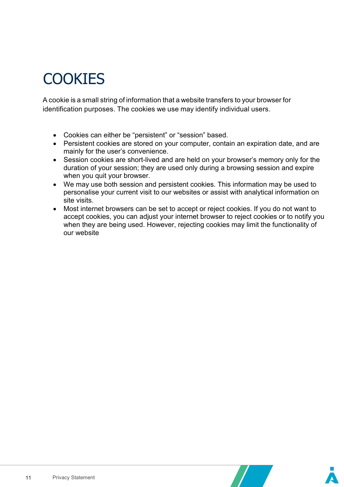# **COOKIES**

A cookie is a small string of information that a website transfers to your browser for identification purposes. The cookies we use may identify individual users.

- Cookies can either be "persistent" or "session" based.
- Persistent cookies are stored on your computer, contain an expiration date, and are mainly for the user's convenience.
- Session cookies are short-lived and are held on your browser's memory only for the duration of your session; they are used only during a browsing session and expire when you quit your browser.
- We may use both session and persistent cookies. This information may be used to personalise your current visit to our websites or assist with analytical information on site visits.
- Most internet browsers can be set to accept or reject cookies. If you do not want to accept cookies, you can adjust your internet browser to reject cookies or to notify you when they are being used. However, rejecting cookies may limit the functionality of our website

 $\mathcal{L}$ 

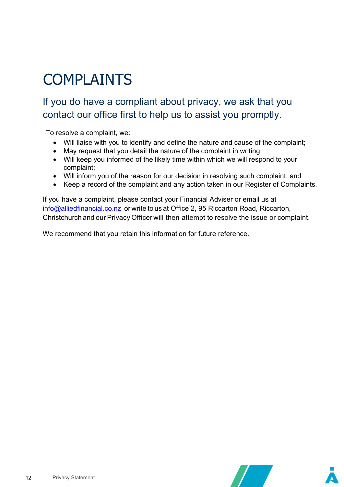# COMPLAINTS

### If you do have a compliant about privacy, we ask that you contact our office first to help us to assist you promptly.

To resolve a complaint, we:

- Will liaise with you to identify and define the nature and cause of the complaint;
- May request that you detail the nature of the complaint in writing;
- Will keep you informed of the likely time within which we will respond to your complaint;
- Will inform you of the reason for our decision in resolving such complaint; and
- Keep a record of the complaint and any action taken in our Register of Complaints.

If you have a complaint, please contact your Financial Adviser or email us at [info@alliedfinancial.co.nz](mailto:info@alliedfinancial.co.nz) or write to us at Office 2, 95 Riccarton Road, Riccarton, Christchurch and our Privacy Officer will then attempt to resolve the issue or complaint.

We recommend that you retain this information for future reference.